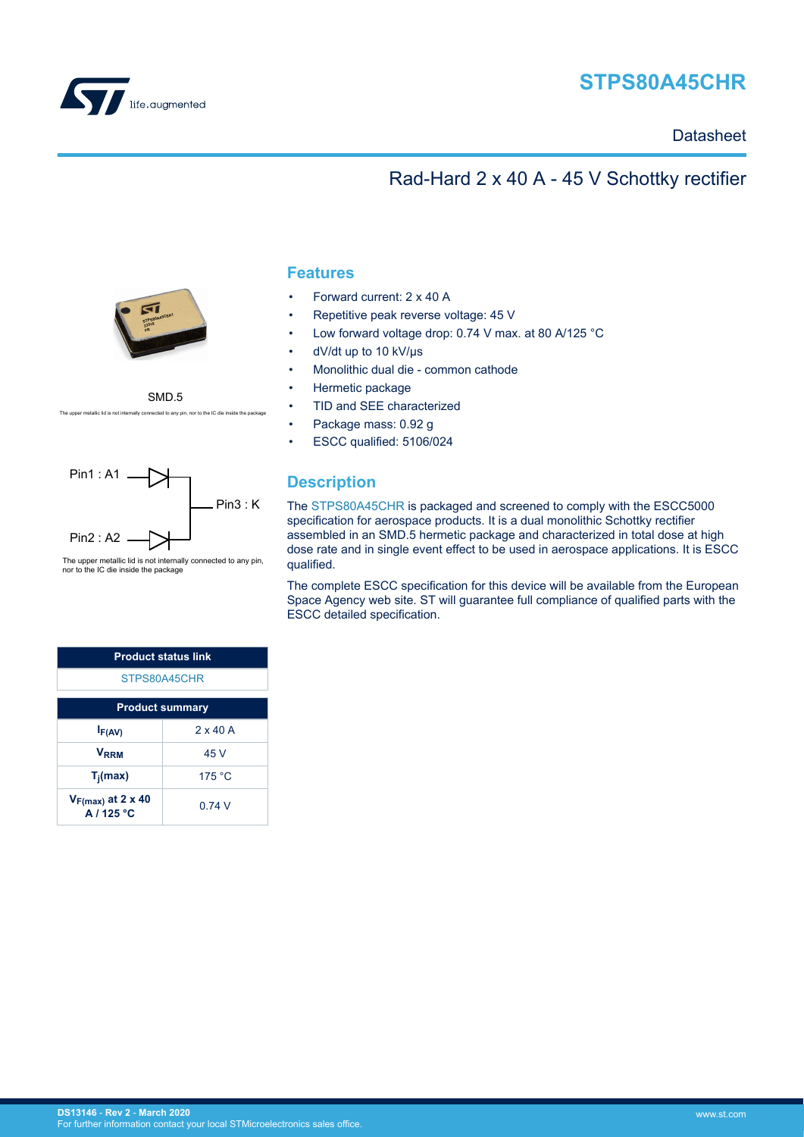<span id="page-0-0"></span>

# **STPS80A45CHR**

## **Datasheet**

## Rad-Hard 2 x 40 A - 45 V Schottky rectifier



SMD.5 ietallic lid is not internally connected to any pin, nor to the IC die inside the p



 The upper metallic lid is not internally connected to any pin, nor to the IC die inside the package

| <b>Product status link</b>           |        |  |  |  |
|--------------------------------------|--------|--|--|--|
| STPS80A45CHR                         |        |  |  |  |
| <b>Product summary</b>               |        |  |  |  |
| $2 \times 40$ A<br>$I_{F(AV)}$       |        |  |  |  |
| <b>V</b> <sub>RRM</sub>              | 45 V   |  |  |  |
| $T_i$ (max)                          | 175 °C |  |  |  |
| $V_{F(max)}$ at 2 x 40<br>A / 125 °C | 0 74 V |  |  |  |

### **Features**

- Forward current: 2 x 40 A
- Repetitive peak reverse voltage: 45 V
- Low forward voltage drop: 0.74 V max. at 80 A/125 °C
- dV/dt up to 10 kV/µs
- Monolithic dual die common cathode
- Hermetic package
- TID and SEE characterized
- Package mass: 0.92 g
- ESCC qualified: 5106/024

## **Description**

The [STPS80A45CHR](https://www.st.com/en/product/stps80a45chr?ecmp=tt9470_gl_link_feb2019&rt=ds&id=DS13146) is packaged and screened to comply with the ESCC5000 specification for aerospace products. It is a dual monolithic Schottky rectifier assembled in an SMD.5 hermetic package and characterized in total dose at high dose rate and in single event effect to be used in aerospace applications. It is ESCC qualified.

The complete ESCC specification for this device will be available from the European Space Agency web site. ST will guarantee full compliance of qualified parts with the ESCC detailed specification.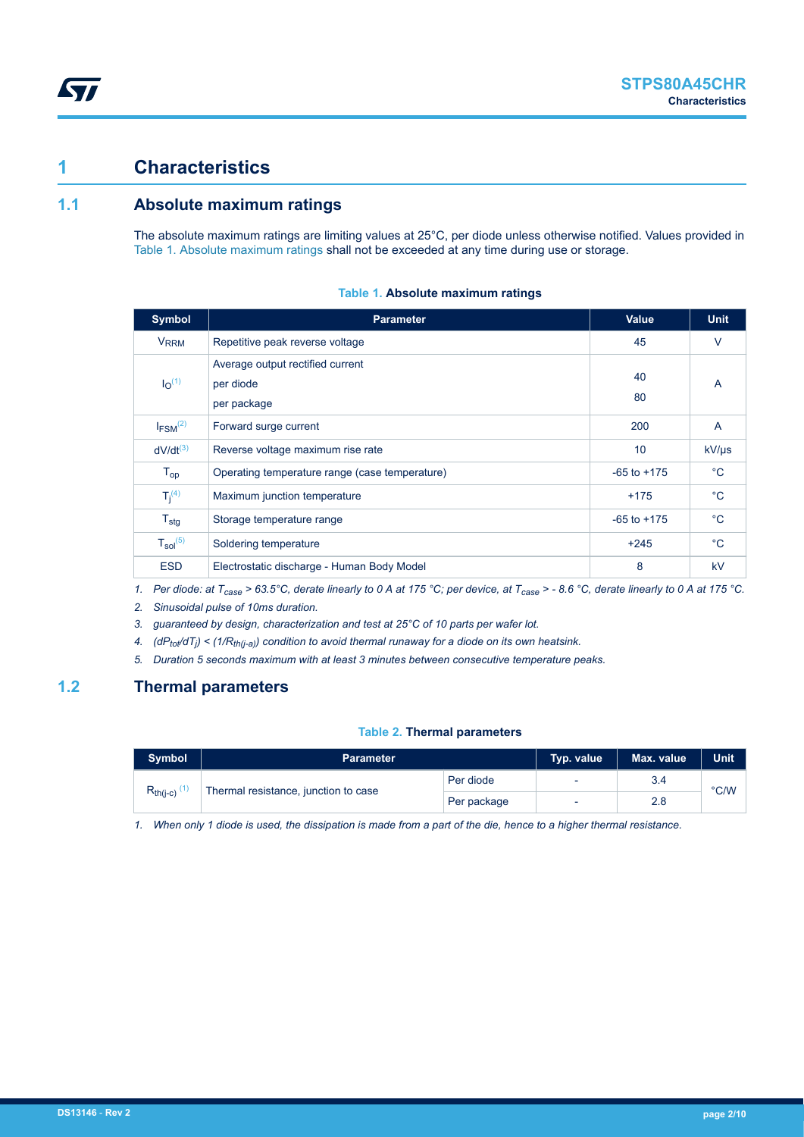## **1 Characteristics**

**KY7** 

## **1.1 Absolute maximum ratings**

The absolute maximum ratings are limiting values at 25°C, per diode unless otherwise notified. Values provided in Table 1. Absolute maximum ratings shall not be exceeded at any time during use or storage.

| <b>Symbol</b>                 | <b>Parameter</b>                                             | <b>Value</b>    | <b>Unit</b>    |
|-------------------------------|--------------------------------------------------------------|-----------------|----------------|
| <b>V<sub>RRM</sub></b>        | Repetitive peak reverse voltage                              | 45              | $\vee$         |
| I <sub>O</sub> <sup>(1)</sup> | Average output rectified current<br>per diode<br>per package | 40<br>80        | A              |
| $I_{FSM}$ <sup>(2)</sup>      | Forward surge current                                        | 200             | $\overline{A}$ |
| $dV/dt^{(3)}$                 | Reverse voltage maximum rise rate                            | 10              | $kV/\mu s$     |
| $T_{op}$                      | Operating temperature range (case temperature)               | $-65$ to $+175$ | $^{\circ}C$    |
| $T_i^{(4)}$                   | Maximum junction temperature                                 | $+175$          | $^{\circ}$ C   |
| $T_{\text{stg}}$              | Storage temperature range                                    | $-65$ to $+175$ | $^{\circ}$ C   |
| $T_{sol}^{(5)}$               | Soldering temperature                                        | $+245$          | $^{\circ}$ C   |
| <b>ESD</b>                    | Electrostatic discharge - Human Body Model                   | 8               | <b>kV</b>      |

#### **Table 1. Absolute maximum ratings**

*1. Per diode: at Tcase > 63.5°C, derate linearly to 0 A at 175 °C; per device, at Tcase > - 8.6 °C, derate linearly to 0 A at 175 °C.*

*2. Sinusoidal pulse of 10ms duration.*

*3. guaranteed by design, characterization and test at 25°C of 10 parts per wafer lot.*

*4. (dPtot/dT<sup>j</sup> ) < (1/Rth(j-a)) condition to avoid thermal runaway for a diode on its own heatsink.*

*5. Duration 5 seconds maximum with at least 3 minutes between consecutive temperature peaks.*

## **1.2 Thermal parameters**

#### **Table 2. Thermal parameters**

| Symbol                                                | <b>Parameter</b> | Typ. value | Max. value | <b>Unit</b> |               |
|-------------------------------------------------------|------------------|------------|------------|-------------|---------------|
| $R_{th(i-c)}$<br>Thermal resistance, junction to case |                  | Per diode  | -          | 3.4         | $\degree$ C/W |
|                                                       | Per package      |            | 2.8        |             |               |

*1. When only 1 diode is used, the dissipation is made from a part of the die, hence to a higher thermal resistance.*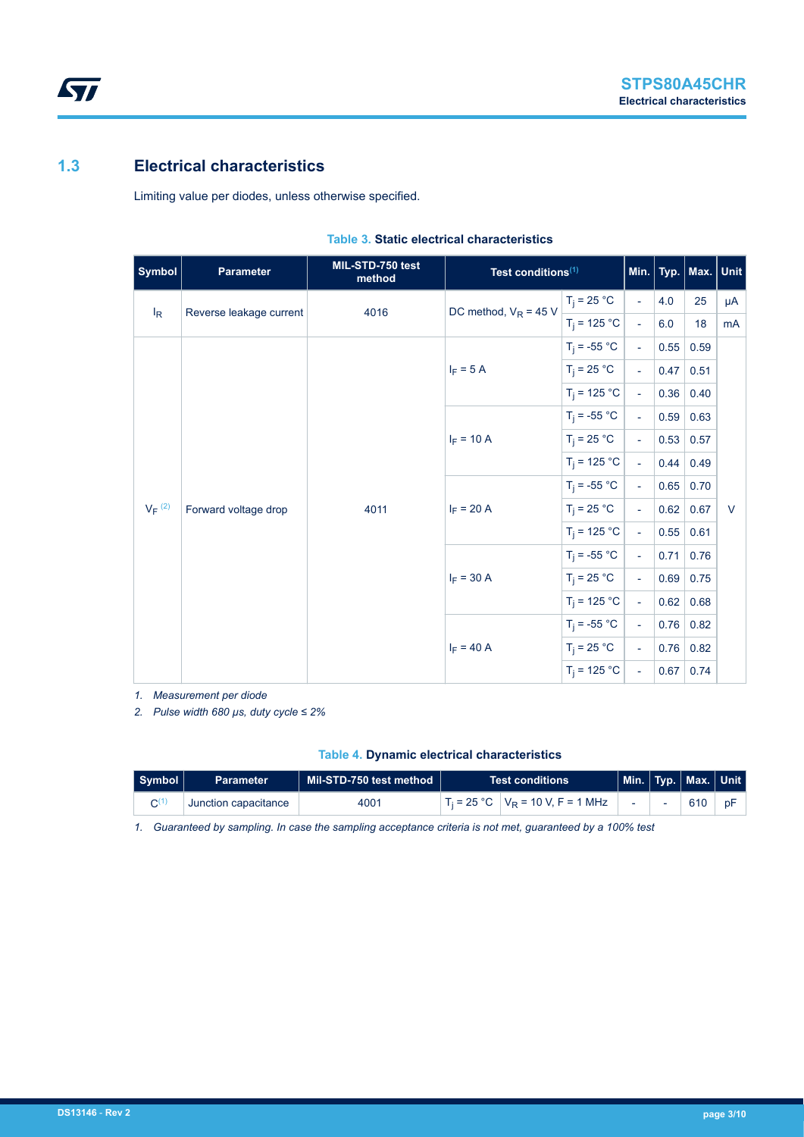## **1.3 Electrical characteristics**

 $\sqrt{M}$ 

Limiting value per diodes, unless otherwise specified.

| <b>Symbol</b>        | <b>Parameter</b>        | MIL-STD-750 test<br>method | Test conditions <sup>(1)</sup> |                |                             |      | Min.   Typ.   Max.   Unit |        |
|----------------------|-------------------------|----------------------------|--------------------------------|----------------|-----------------------------|------|---------------------------|--------|
| $I_R$                | Reverse leakage current | 4016                       | DC method, $V_R = 45 V$        | $T_i = 25 °C$  | $\mathcal{L}$               | 4.0  | 25                        | μA     |
|                      |                         |                            |                                | $T_i = 125 °C$ | $\overline{\phantom{a}}$    | 6.0  | 18                        | mA     |
|                      |                         |                            |                                | $T_i = -55 °C$ | $\equiv$                    | 0.55 | 0.59                      |        |
|                      |                         |                            | $I_F = 5 A$                    | $T_i = 25 °C$  | $\mathcal{L}^{\mathcal{A}}$ | 0.47 | 0.51                      |        |
|                      |                         |                            |                                | $T_i = 125 °C$ | $\overline{\phantom{a}}$    | 0.36 | 0.40                      |        |
|                      |                         | $I_F = 10 A$               | $T_i = -55 °C$                 | $\equiv$       | 0.59                        | 0.63 |                           |        |
|                      |                         |                            | $T_i = 25 °C$                  | $\mathcal{L}$  | 0.53                        | 0.57 |                           |        |
|                      |                         |                            | $T_i = 125 °C$                 | $\mathbf{u}$   | 0.44                        | 0.49 |                           |        |
|                      |                         | 4011                       | $I_F = 20 A$                   | $T_i = -55 °C$ | $\equiv$                    | 0.65 | 0.70                      |        |
| $V_F$ <sup>(2)</sup> | Forward voltage drop    |                            |                                | $T_i = 25 °C$  | $\equiv$                    | 0.62 | 0.67                      | $\vee$ |
|                      |                         |                            |                                | $T_i = 125 °C$ | $\mathbf{u}$                | 0.55 | 0.61                      |        |
|                      |                         |                            | $I_F = 30 A$                   | $T_i = -55 °C$ | $\overline{\phantom{a}}$    | 0.71 | 0.76                      |        |
|                      |                         |                            |                                | $T_i = 25 °C$  | $\mathcal{L}$               | 0.69 | 0.75                      |        |
|                      |                         |                            |                                | $T_i = 125 °C$ | $\mathbf{u}$                | 0.62 | 0.68                      |        |
|                      |                         |                            |                                | $T_i = -55 °C$ | $\overline{\phantom{a}}$    | 0.76 | 0.82                      |        |
|                      |                         |                            | $I_F = 40 A$                   | $T_i = 25 °C$  | $\mathcal{L}$               | 0.76 | 0.82                      |        |
|                      |                         |                            |                                | $T_i = 125 °C$ | $\Box$                      | 0.67 | 0.74                      |        |

#### **Table 3. Static electrical characteristics**

*1. Measurement per diode*

*2. Pulse width 680 µs, duty cycle ≤ 2%*

#### **Table 4. Dynamic electrical characteristics**

| Symbol | <b>Parameter</b>     | ∣ Mil-STD-750 test method | <b>Test conditions</b> |                                       |  | $\mid$ Min. $\mid$ Typ. $\mid$ Max. $\mid$ Unit $\mid$ |    |
|--------|----------------------|---------------------------|------------------------|---------------------------------------|--|--------------------------------------------------------|----|
|        | Junction capacitance | 4001                      |                        | $T_i = 25 °C$ $V_R = 10 V, F = 1 MHz$ |  | $610$                                                  | pF |

*1. Guaranteed by sampling. In case the sampling acceptance criteria is not met, guaranteed by a 100% test*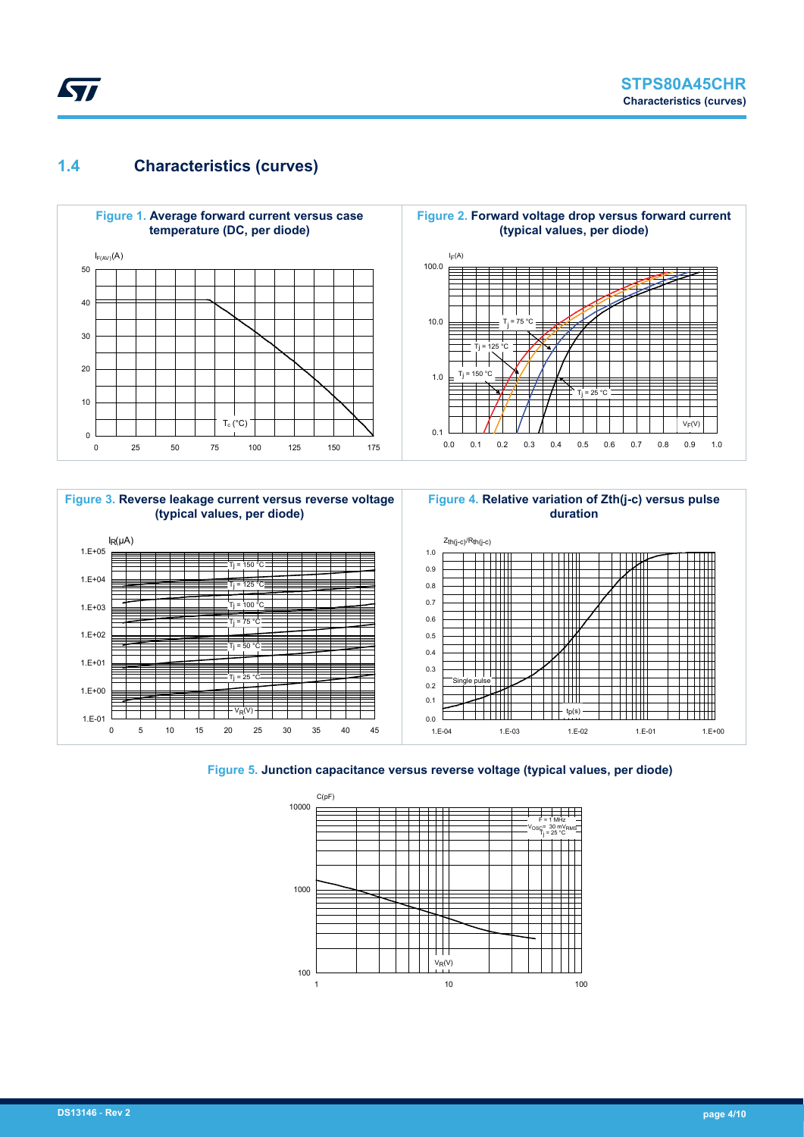## **1.4 Characteristics (curves)**

ST





![](_page_3_Figure_4.jpeg)

![](_page_3_Figure_5.jpeg)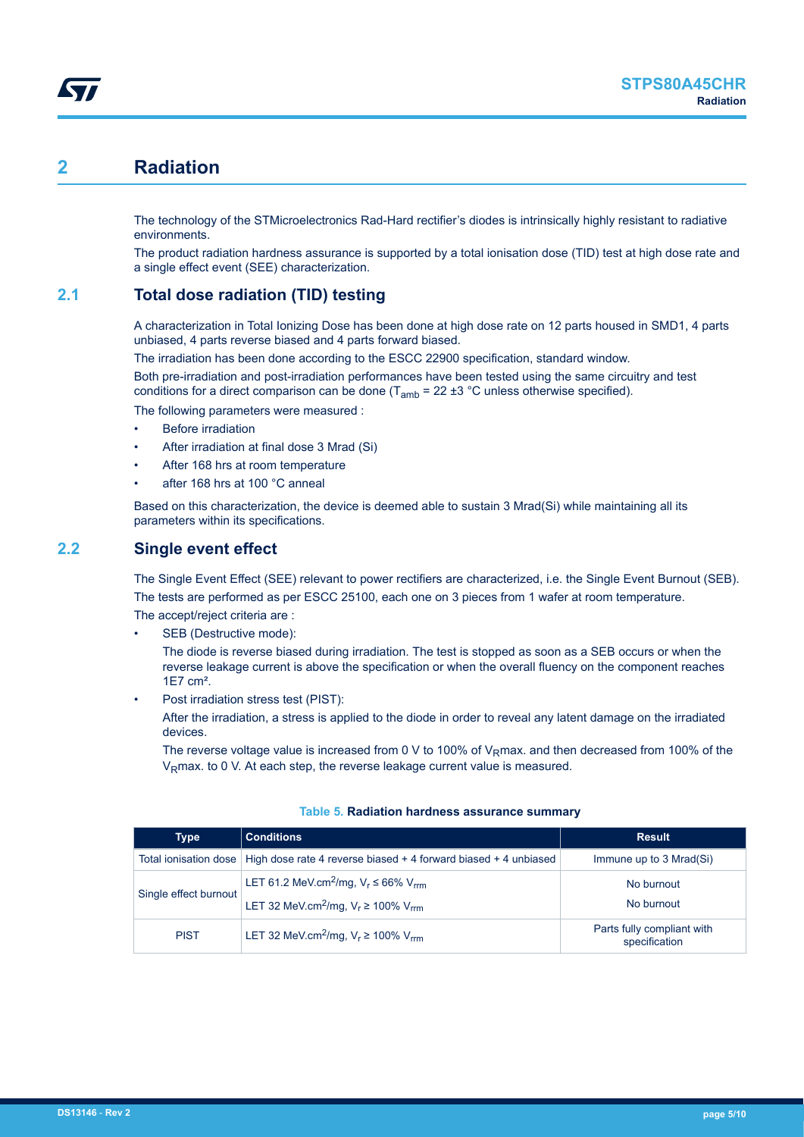# **2 Radiation**

The technology of the STMicroelectronics Rad-Hard rectifier's diodes is intrinsically highly resistant to radiative environments.

The product radiation hardness assurance is supported by a total ionisation dose (TID) test at high dose rate and a single effect event (SEE) characterization.

## **2.1 Total dose radiation (TID) testing**

A characterization in Total Ionizing Dose has been done at high dose rate on 12 parts housed in SMD1, 4 parts unbiased, 4 parts reverse biased and 4 parts forward biased.

The irradiation has been done according to the ESCC 22900 specification, standard window.

Both pre-irradiation and post-irradiation performances have been tested using the same circuitry and test conditions for a direct comparison can be done  $(T_{amb} = 22 \pm 3 \degree C$  unless otherwise specified).

The following parameters were measured :

- **Before irradiation**
- After irradiation at final dose 3 Mrad (Si)
- After 168 hrs at room temperature
- after 168 hrs at 100 °C anneal

Based on this characterization, the device is deemed able to sustain 3 Mrad(Si) while maintaining all its parameters within its specifications.

### **2.2 Single event effect**

The Single Event Effect (SEE) relevant to power rectifiers are characterized, i.e. the Single Event Burnout (SEB). The tests are performed as per ESCC 25100, each one on 3 pieces from 1 wafer at room temperature. The accept/reject criteria are :

SEB (Destructive mode):

The diode is reverse biased during irradiation. The test is stopped as soon as a SEB occurs or when the reverse leakage current is above the specification or when the overall fluency on the component reaches 1E7 cm².

Post irradiation stress test (PIST):

After the irradiation, a stress is applied to the diode in order to reveal any latent damage on the irradiated devices.

The reverse voltage value is increased from 0 V to 100% of V<sub>R</sub>max. and then decreased from 100% of the V<sub>R</sub>max, to 0 V. At each step, the reverse leakage current value is measured.

| <b>Type</b>                                                                               | <b>Conditions</b>                                                                       | <b>Result</b>                               |
|-------------------------------------------------------------------------------------------|-----------------------------------------------------------------------------------------|---------------------------------------------|
|                                                                                           | Total ionisation dose   High dose rate 4 reverse biased + 4 forward biased + 4 unbiased | Immune up to 3 Mrad(Si)                     |
| LET 61.2 MeV.cm <sup>2</sup> /mg, $V_r \le 66\%$ V <sub>rm</sub><br>Single effect burnout |                                                                                         | No burnout                                  |
|                                                                                           | LET 32 MeV.cm <sup>2</sup> /mg, $V_r \ge 100\%$ V <sub>rm</sub>                         | No burnout                                  |
| <b>PIST</b>                                                                               | LET 32 MeV.cm <sup>2</sup> /mg, $V_r \ge 100\%$ V <sub>rm</sub>                         | Parts fully compliant with<br>specification |

#### **Table 5. Radiation hardness assurance summary**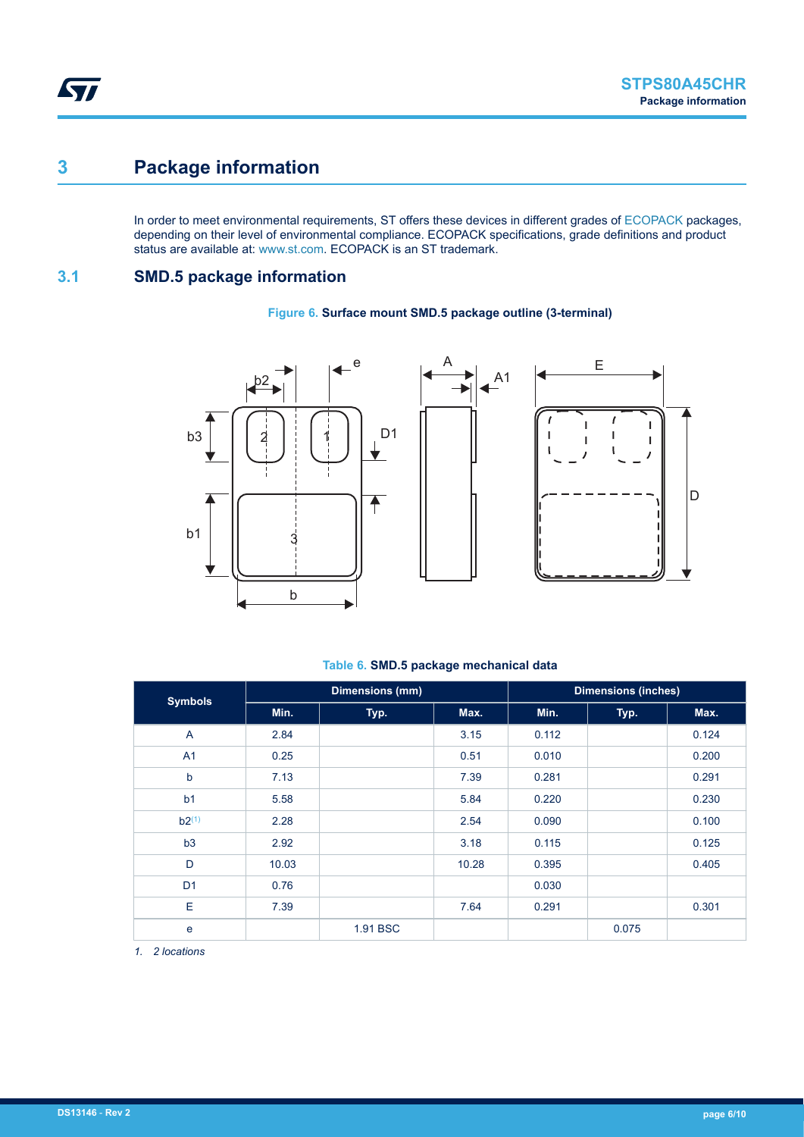# **3 Package information**

In order to meet environmental requirements, ST offers these devices in different grades of [ECOPACK](https://www.st.com/ecopack) packages, depending on their level of environmental compliance. ECOPACK specifications, grade definitions and product status are available at: [www.st.com.](http://www.st.com) ECOPACK is an ST trademark.

## **3.1 SMD.5 package information**

![](_page_5_Figure_5.jpeg)

#### **Figure 6. Surface mount SMD.5 package outline (3-terminal)**

#### **Table 6. SMD.5 package mechanical data**

| <b>Symbols</b> |       | <b>Dimensions (mm)</b> |       |       | <b>Dimensions (inches)</b> |       |
|----------------|-------|------------------------|-------|-------|----------------------------|-------|
|                | Min.  | Typ.                   | Max.  | Min.  | Typ.                       | Max.  |
| $\overline{A}$ | 2.84  |                        | 3.15  | 0.112 |                            | 0.124 |
| A <sub>1</sub> | 0.25  |                        | 0.51  | 0.010 |                            | 0.200 |
| b              | 7.13  |                        | 7.39  | 0.281 |                            | 0.291 |
| b <sub>1</sub> | 5.58  |                        | 5.84  | 0.220 |                            | 0.230 |
| $b2^{(1)}$     | 2.28  |                        | 2.54  | 0.090 |                            | 0.100 |
| b3             | 2.92  |                        | 3.18  | 0.115 |                            | 0.125 |
| D              | 10.03 |                        | 10.28 | 0.395 |                            | 0.405 |
| D <sub>1</sub> | 0.76  |                        |       | 0.030 |                            |       |
| E              | 7.39  |                        | 7.64  | 0.291 |                            | 0.301 |
| e              |       | 1.91 BSC               |       |       | 0.075                      |       |

*1. 2 locations*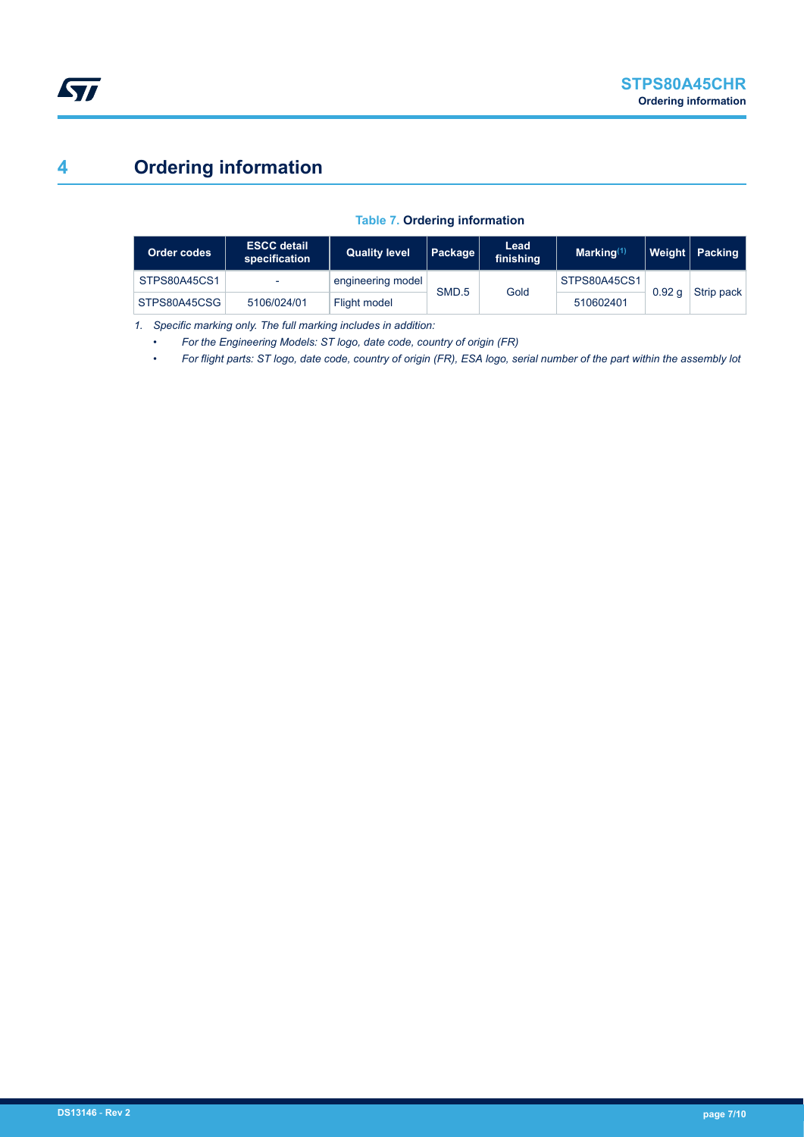# **4 Ordering information**

#### **Table 7. Ordering information**

| Order codes  | <b>ESCC detail</b><br>specification | <b>Quality level</b> | Package | Lead<br>finishing | Marking <sup>(1)</sup> |                   | Weight   Packing |
|--------------|-------------------------------------|----------------------|---------|-------------------|------------------------|-------------------|------------------|
| STPS80A45CS1 |                                     | engineering model    | SMD.5   | Gold              | STPS80A45CS1           | 0.92 <sub>a</sub> | Strip pack       |
| STPS80A45CSG | 5106/024/01                         | Flight model         |         |                   | 510602401              |                   |                  |

*1. Specific marking only. The full marking includes in addition:*

- *For the Engineering Models: ST logo, date code, country of origin (FR)*
- *For flight parts: ST logo, date code, country of origin (FR), ESA logo, serial number of the part within the assembly lot*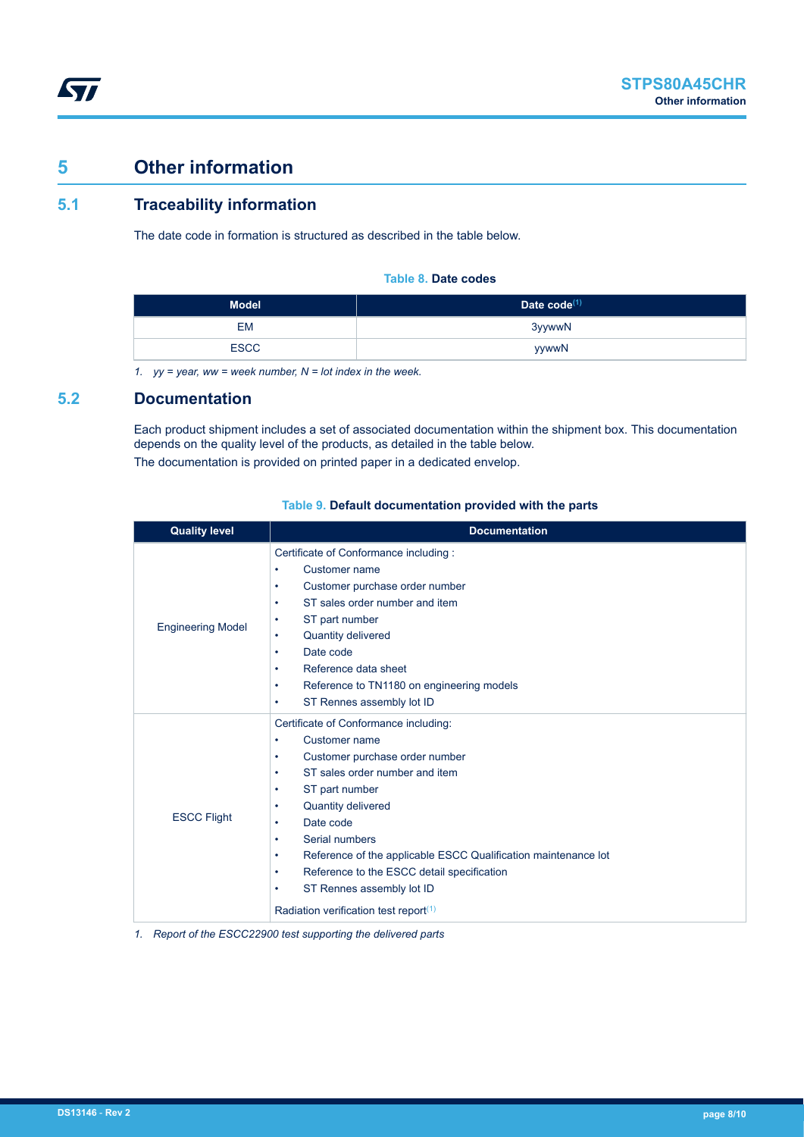# **5 Other information**

ST

## **5.1 Traceability information**

The date code in formation is structured as described in the table below.

#### **Table 8. Date codes**

| <b>Model</b> | Date $code^{(1)}$ |
|--------------|-------------------|
| EM           | 3yywwN            |
| <b>ESCC</b>  | yywwN             |

*1. yy = year, ww = week number, N = lot index in the week.*

### **5.2 Documentation**

Each product shipment includes a set of associated documentation within the shipment box. This documentation depends on the quality level of the products, as detailed in the table below. The documentation is provided on printed paper in a dedicated envelop.

| <b>Quality level</b>     | <b>Documentation</b>                                                                                                                                                                                                                                                                                                                                                                                                                                                         |
|--------------------------|------------------------------------------------------------------------------------------------------------------------------------------------------------------------------------------------------------------------------------------------------------------------------------------------------------------------------------------------------------------------------------------------------------------------------------------------------------------------------|
| <b>Engineering Model</b> | Certificate of Conformance including :<br>Customer name<br>$\bullet$<br>Customer purchase order number<br>$\bullet$<br>ST sales order number and item<br>٠<br>ST part number<br>$\bullet$<br>Quantity delivered<br>$\bullet$<br>Date code<br>٠<br>Reference data sheet<br>٠<br>Reference to TN1180 on engineering models<br>٠<br>ST Rennes assembly lot ID<br>$\bullet$                                                                                                      |
| <b>ESCC Flight</b>       | Certificate of Conformance including:<br>Customer name<br>٠<br>Customer purchase order number<br>$\bullet$<br>ST sales order number and item<br>٠<br>ST part number<br>٠<br>Quantity delivered<br>٠<br>Date code<br>٠<br>Serial numbers<br>٠<br>Reference of the applicable ESCC Qualification maintenance lot<br>$\bullet$<br>Reference to the ESCC detail specification<br>$\bullet$<br>ST Rennes assembly lot ID<br>$\bullet$<br>Radiation verification test report $(1)$ |

#### **Table 9. Default documentation provided with the parts**

*1. Report of the ESCC22900 test supporting the delivered parts*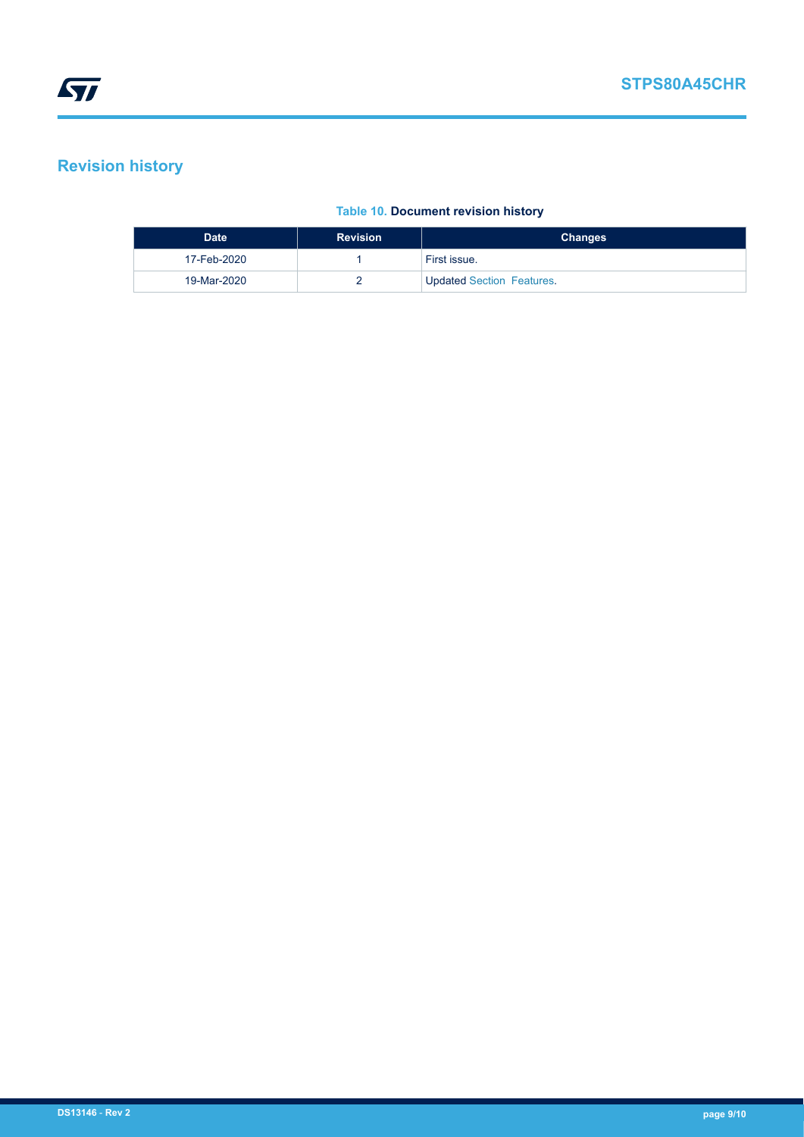# **Revision history**

### **Table 10. Document revision history**

| <b>Date</b> | <b>Revision</b> | <b>Changes</b>                   |
|-------------|-----------------|----------------------------------|
| 17-Feb-2020 |                 | First issue.                     |
| 19-Mar-2020 |                 | <b>Updated Section Features.</b> |